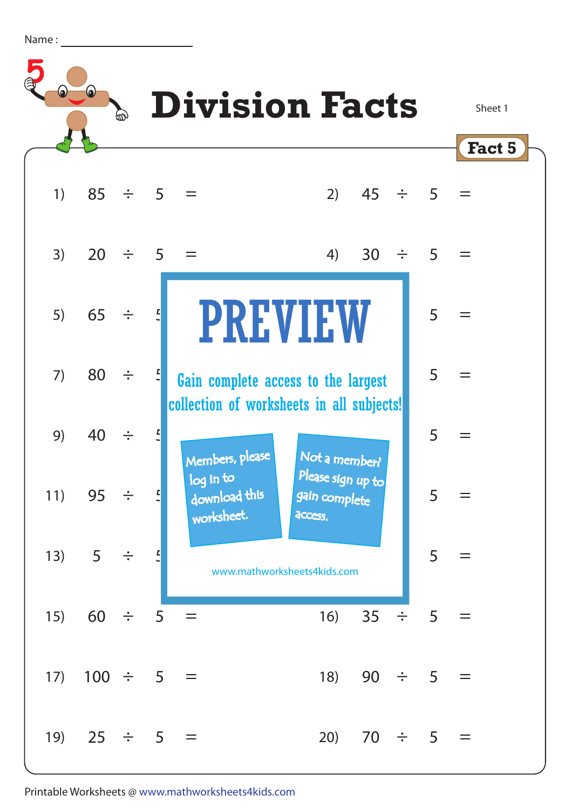